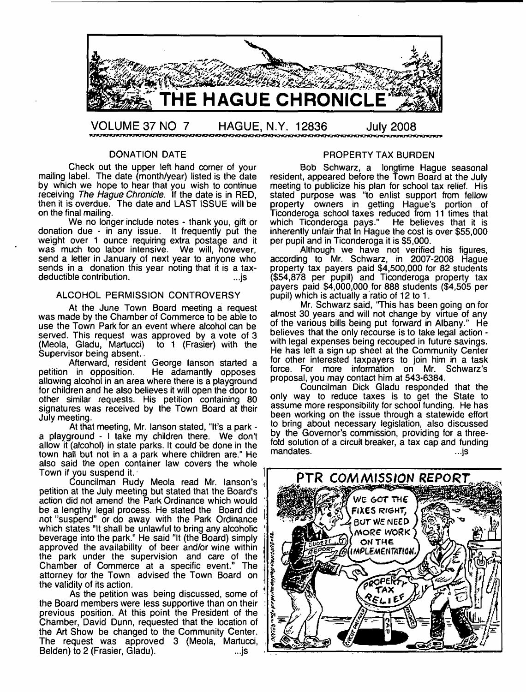

#### DONATION DATE

Check out the upper left hand corner of your mailing label. The date (month/year) listed is the date by which we hope to hear that you wish to continue receiving *The Hague Chronicle.* If the date is in RED, then it is overdue. The date and LAST ISSUE will be on the final mailing.

We no longer include notes - thank you, gift or donation due - in any issue. It frequently put the weight over 1 ounce requiring extra postage and it was much too labor intensive. We will, however, send a letter in January of next year to anyone who sends in a donation this year noting that it is a tax-<br>deductible contribution. deductible contribution.

### ALCOHOL PERMISSION CONTROVERSY

At the June Town Board meeting a request was made by the Chamber of Commerce to be able to use the Town Park for an event where alcohol can be served. This request was approved by a vote of 3 (Meola, Gladu, Martucci) to 1 (Frasier) with the (Meola, Gladu, Martucci) Supervisor being absent...

Afterward, resident George lanson started a<br>petition in opposition. He adamantly opposes He adamantly opposes allowing alcohol in an area where there is a playground for children and he also believes it will open the door to other similar requests. His petition containing 80 signatures was received by the Town Board at their July meeting.

At that meeting, Mr. lanson stated, "It's a park a playground - I take my children there. We don't allow it (alcohol) in state parks. It could be done in the town hall but not in a a park where children are." He also said the open container law covers the whole Town if you suspend it.

Councilman Rudy Meola read Mr. lanson's petition at the July meeting but stated that the Board's action did not amend the Park Ordinance which would be a lengthy legal process. He stated the Board did not ''suspend" or do away with the Park Ordinance which states "It shall be unlawful to bring any alcoholic beverage into the park." He said "It (the Board) simply approved the availability of beer and/or wine within the park under the supervision and care of the Chamber of Commerce at a specific event." The attorney for the Town advised the Town Board on the validity of its action.

As the petition was being discussed, some of the Board members were less supportive than on their previous position. At this point the President of the Chamber, David Dunn, requested that the location of the Art Show be changed to the Community Center. The request was approved 3 (Meola, Martucci, Belden) to 2 (Frasier, Gladu). ...js

#### PROPERTY TAX BURDEN

Bob Schwarz, a longtime Hague seasonal resident, appeared before the Town Board at the July meeting to publicize his plan for school tax relief. His stated purpose was "to enlist support from fellow property owners in getting Hague's portion of Ticonderoga school taxes reduced from 11 times that which Ticonderoga pays." He believes that it is inherently unfair that In Hague the cost is over \$55,000 per pupil and in Ticonderoga it is \$5,000.

Although we have not verified his figures, according to Mr. Schwarz, in 2007-2008 Hague property tax payers paid \$4,500,000 for 82 students (\$54,878 per pupil) and Ticonderoga property tax payers paid \$4,000,000 for 888 students (\$4,505 per pupil) which is actually a ratio of 12 to 1.

Mr. Schwarz said, "This has been going on for almost 30 years and will not change by virtue of any of the various bills being put forward in Albany." He believes that the only recourse is to take legal action with legal expenses being recouped in future savings. He has left a sign up sheet at the Community Center for other interested taxpayers to join him in a task force. For more information on Mr. Schwarz's proposal, you may contact him at 543-6384.

Councilman Dick Gladu responded that the only way to reduce taxes is to get the State to assume more responsibility for school funding. He has been working on the issue through a statewide effort to bring about necessary legislation, also discussed by the Governor's commission, providing for a threefold solution of a circuit breaker, a tax cap and funding mandates. ...js

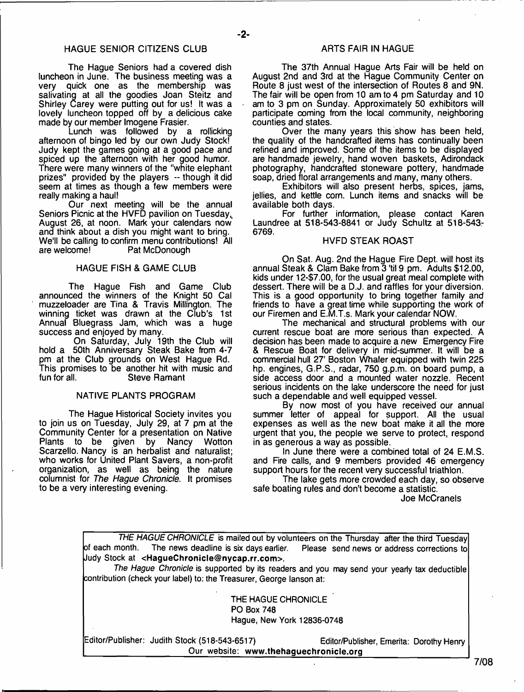- **2**-

The Hague Seniors had a covered dish luncheon in June. The business meeting was a very quick one as the membership was salivating at all the goodies Joan Steitz and Shirley Carey were putting out for us! It was a lovely luncheon topped off by a delicious cake made by our member Imogene Frasier.

Lunch was followed by a rollicking afternoon of bingo led by our own Judy Stock! Judy kept the games going at a good pace and spiced up the afternoon with her good humor. There were many winners of the "white elephant prizes" provided by the players -- though it did seem at times as though a few members were really making a haul!

Our next meeting will be the annual Seniors Picnic at the HVFD pavilion on Tuesday, August 26, at noon. Mark your calendars now and think about a dish you might want to bring. We'll be calling to confirm menu contributions! All<br>are welcome! Pat McDonough Pat McDonough

#### HAGUE FISH & GAME CLUB

The Hague Fish and Game Club announced the winners of the Knight 50 Cal muzzeloader are Tina & Travis Millington. The winning ticket was drawn at the Club's 1st Annual Bluegrass Jam, which was a huge success and enjoyed by many.

On Saturday, July 19th the Club will hold a 50th Anniversary Steak Bake from 4-7 pm at the Club grounds on West Hague Rd. This promises to be another hit with music and fun for all.<br>Steve Ramant **Steve Ramant** 

#### NATIVE PLANTS PROGRAM

The Hague Historical Society invites you to join us on Tuesday, July 29, at 7 pm at the Community Center for a presentation on Native to be given by Nancy Wotton Scarzello. Nancy is an herbalist and naturalist; who works for United Plant Savers, a non-profit organization, as well as being the nature columnist for *The Hague Chronicle*. It promises to be a very interesting evening.

The 37th Annual Hague Arts Fair will be held on August 2nd and 3rd at the Hague Community Center on Route 8 just west of the intersection of Routes 8 and 9N. The fair will be open from 10 am to 4 pm Saturday and 10 am to 3 pm on Sunday. Approximately 50 exhibitors will participate coming from the local community, neighboring counties and states.

Over the many years this show has been held, the quality of the handcrafted items has continually been refined and improved. Some of the items to be displayed are handmade jewelry, hand woven baskets, Adirondack photography, handcrafted stoneware pottery, handmade soap, dried floral arrangements and many, many others.

Exhibitors will also present herbs, spices, jams, jellies, and kettle corn. Lunch items and snacks will be available both days.

For further information, please contact Karen Laundree at 518-543-8841 or Judy Schultz at 518-543- 6769.

#### HVFD STEAK ROAST

On Sat. Aug. 2nd the Hague Fire Dept, will host its annual Steak & Clam Bake from 3 'til 9 pm. Adults \$12.00, kids under 12-\$7.00, for the usual great meal complete with dessert. There will be a D.J. and raffles for your diversion. This is a good opportunity to bring together family and friends to have a great time while supporting the work of our Firemen and E.M.T.s. Mark your calendar NOW.

The mechanical and structural problems with our current rescue boat are more serious than expected. A decision has been made to acquire a new Emergency Fire & Rescue Boat for delivery in mid-summer. It will be a commercial hull 27' Boston Whaler equipped with twin 225 hp. engines, G.P.S., radar, 750 g.p.m. on board pump, a side access door and a mounted water nozzle. Recent serious incidents on the lake underscore the need for just such a dependable and well equipped vessel.

By now most of you have received our annual summer letter of appeal for support. All the usual expenses as well as the new boat make it all the more urgent that you, the people we serve to protect, respond in as generous a way as possible.

In June there were a combined total of 24 E.M.S. and Fire calls, and 9 members provided 46 emergency support hours for the recent very successful triathlon.

The lake gets more crowded each day, so observe safe boating rules and don't become a statistic.

Joe McCranels

*THE HAGUE CHRONICLE* is mailed out by volunteers on the Thursday after the third Tuesday of each month. The news deadline is six days earlier. Please send news or address corrections to Judy Stock at **[<HagueChronicle@nycap.rr.com>](mailto:HagueChronicle@nycap.rr.com).**

*The Hague Chronicle* is supported by its readers and you may send your yearly tax deductible contribution {check your label) to: the Treasurer, George lanson at:

> THE HAGUE CHRONICLE PO Box 748 Hague, New York 12836-0748

Editor/Publisher: Judith Stock (518-543-6517) Editor/Publisher, Emerita: Dorothy Henry Our website: **[www.thehaguechronicle.org](http://www.thehaguechronicle.org)**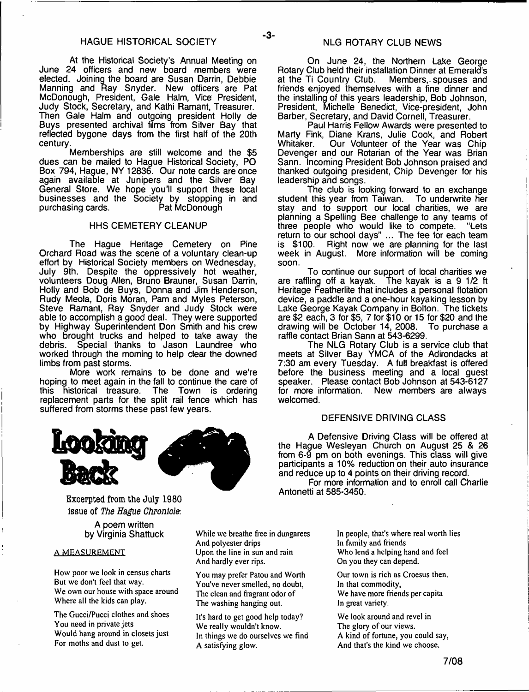At the Historical Society's Annual Meeting on June 24 officers and new board members were elected. Joining the board are Susan Darrin, Debbie Manning and Ray Snyder. New officers are Pat McDonough, President, Gale Halm, Vice President, Judy Stock, Secretary, and Kathi Ramant, Treasurer. Then Gale Halm and outgoing president Holly de Buys presented archival films from Silver Bay that reflected bygone days from the first half of the 20th century.

Memberships are still welcome and the \$5 dues can be mailed to Hague Historical Society, PO Box 794, Hague, NY 12836. Our note cards are once again available at Junipers and the Silver Bay General Store. We hope you'll support these local businesses and the Society by stopping in and purchasing cards. Pat McDonough

#### HHS CEMETERY CLEANUP

The Hague Heritage Cemetery on Pine Orchard Road was the scene of a voluntary clean-up effort by Historical Society members on Wednesday, July 9th. Despite the oppressively hot weather, volunteers Doug Allen, Bruno Brauner, Susan Darrin, Holly and Bob de Buys, Donna and Jim Henderson, Rudy Meola, Doris Moran, Pam and Myles Peterson, Steve Ramant, Ray Snyder and Judy Stock were able to accomplish a good deal. They were supported by Highway Superintendent Don Smith and his crew who brought trucks and helped to take away the debris. Special thanks to Jason Laundree who Special thanks to Jason Laundree who worked through the morning to help clear the downed limbs from past storms.

More work remains to be done and we're hoping to meet again in the fall to continue the care of<br>this historical treasure. The Town is ordering The Town is ordering. replacement parts for the split rail fence which has suffered from storms these past few years.



**Excerpted from the July 1980 issue of** *The Hague Chronicle.*

> A poem written by Virginia Shattuck

#### A MEASUREMENT

How poor we look in census charts But we don't feel that way. We own our house with space around Where all the kids can play.

The Gucci/Pucci clothes and shoes You need in private jets Would hang around in closets just For moths and dust to get.

On June 24, the Northern Lake George Rotary Club held their installation Dinner at Emerald's<br>at the Ti Country Club. Members, spouses and Members, spouses and friends enjoyed themselves with a fine dinner and the installing of this years leadership, Bob Johnson, President, Michelle Benedict, Vice-president, John Barber, Secretary, and David Cornell, Treasurer.

Paul Harris Fellow Awards were presented to Marty Fink, Diane Krans, Julie Cook, and Robert Whitaker. Our Volunteer of the Year was Chip Devenger and our Rotarian of the Year was Brian Sann. Incoming President Bob Johnson praised and thanked outgoing president, Chip Devenger for his leadership and songs.

The club is looking forward to an exchange student this year from Taiwan. To underwrite her stay and to support our local charities, we are planning a Spelling Bee challenge to any teams of three people who would like to compete. "Lets return to our school days" ... The fee for each team is \$100. Right now we are planning for the last week in August. More information will be coming soon.

To continue our support of local charities we are raffling off a kayak. The kayak is a 9 1/2 ft Heritage Featherlite that includes a personal flotation device, a paddle and a one-hour kayaking lesson by Lake George Kayak Company in Bolton. The tickets are \$2 each, 3 for \$5, 7 for \$10 or 15 for \$20 and the drawing will be October 14, 2008. raffle contact Brian Sann at 543-6299.

The NLG Rotary Club is a service club that meets at Silver Bay YMCA of the Adirondacks at 7:30 am every Tuesday. A full breakfast is offered before the business meeting and a local guest speaker. Please contact Bob Johnson at 543-6127 for more information. New members are always welcomed.

#### DEFENSIVE DRIVING CLASS

A Defensive Driving Class will be offered at the Hague Wesleyan Church on August 25 & 26 from 6-9 pm on both evenings. This class will give participants a 10% reduction on their auto insurance and reduce up to 4 points on their driving record.

For more information and to enroll call Charlie Antonetti at 585-3450.

While we breathe free in dungarees And polyester drips Upon the line in sun and rain And hardly ever rips.

You may prefer Patou and Worth You've never smelled, no doubt, The clean and fragrant odor of The washing hanging out.

It's hard to get good help today? We really wouldn't know. In things we do ourselves we find A satisfying glow.

In people, that's where real worth lies In family and friends Who lend a helping hand and feel On you they can depend.

Our town is rich as Croesus then. In that commodity, We have more friends per capita In great variety.

We look around and revel in The glory of our views. A kind of fortune, you could say, And that's the kind we choose.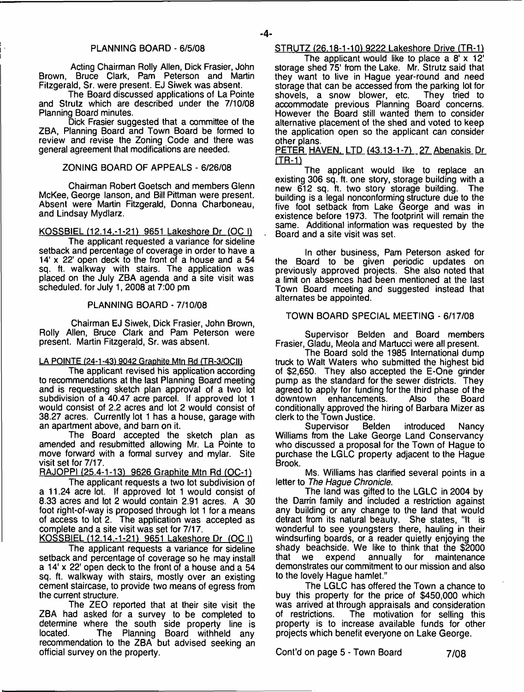Acting Chairman Roily Allen, Dick Frasier, John Brown, Bruce Clark, Pam Peterson and Martin Fitzgerald, Sr. were present. EJ Siwek was absent.

The Board discussed applications of La Pointe and Strutz which are described under the 7/10/08 Planning Board minutes.

Dick Frasier suggested that a committee of the ZBA, Planning Board and Town Board be formed to review and revise the Zoning Code and there was general agreement that modifications are needed.

### ZONING BOARD OF APPEALS - 6/26/08

Chairman Robert Goetsch and members Glenn McKee, George lanson, and Bill Pittman were present. Absent were Martin Fitzgerald, Donna Charboneau, and Lindsay Mydlarz.

KOSSBIEL (12.14.-1-21) 9651 Lakeshore Dr (OC I)

The applicant requested a variance for sideline setback and percentage of coverage in order to have a 14' x 22' open deck to the front of a house and a 54 sq. ft. walkway with stairs. The application was placed on the July ZBA agenda and a site visit was scheduled, for July 1, 2008 at 7:00 pm

#### PLANNING BOARD - 7/10/08

Chairman EJ Siwek, Dick Frasier, John Brown, Roily Allen, Bruce Clark and Pam Peterson were present. Martin Fitzgerald, Sr. was absent.

# LA POINTE (24-1-43) 9042 Graphite Mtn Rd (TR-3/OCII)

The applicant revised his application according to recommendations at the last Planning Board meeting and is requesting sketch plan approval of a two lot subdivision of a 40.47 acre parcel. If approved lot 1 would consist of 2.2 acres and lot 2 would consist of 38.27 acres. Currently lot 1 has a house, garage with an apartment above, and barn on it.

The Board accepted the sketch plan as amended and resubmitted allowing Mr. La Pointe to move forward with a formal survey and mylar. Site visit set for 7/17.

RAJOPPI (25.4-1-13) 9626 Graphite Mtn Rd (OC-1)

The applicant requests a two lot subdivision of a 11.24 acre lot. If approved lot 1 would consist of 8.33 acres and lot 2 would contain 2.91 acres. A 30 foot right-of-way is proposed through lot 1 for a means of access to lot 2. The application was accepted as complete and a site visit was set for 7/17.

KOSSBIEL (12.14.-1-21) 9651 Lakeshore Dr (OC I) The applicant requests a variance for sideline setback and percentage of coverage so he may install a 14' x 22' open deck to the front of a house and a 54 sq. ft. walkway with stairs, mostly over an existing cement staircase, to provide two means of egress from the current structure.

The ZEO reported that at their site visit the ZBA had asked for a survey to be completed to determine where the south side property line is<br>located. The Planning Board withheld any The Planning Board withheld any recommendation to the ZBA but advised seeking an official survey on the property.

# STRUTZ (26.18-1-10) 9222 Lakeshore Drive (TR-1)

The applicant would like to place a 8' x 12' storage shed 75' from the Lake. Mr. Strutz said that they want to live in Hague year-round and need storage that can be accessed from the parking lot for shovels, a snow blower, etc. They tried to accommodate previous Planning Board concerns. However the Board still wanted them to consider alternative placement of the shed and voted to keep the application open so the applicant can consider other plans.

PETER HAVEN, LTD (43.13-1-7) 27 Abenakis Dr  $(TR-1)$ 

The applicant would like to replace an existing 306 sq. ft. one story, storage building with a new 612 sq. ft. two story storage building. The new 612 sq. ft. two story storage building. building is a legal nonconforming structure due to the five foot setback from Lake George and was in existence before 1973. The footprint will remain the same. Additional information was requested by the Board and a site visit was set.

In other business, Pam Peterson asked for the Board to be given periodic updates on previously approved projects. She also noted that a limit on absences had been mentioned at the last Town Board meeting and suggested instead that alternates be appointed.

# TOWN BOARD SPECIAL MEETING - 6/17/08

Supervisor Belden and Board members Frasier, Gladu, Meola and Martucci were all present.

The Board sold the 1985 International dump truck to Walt Waters who submitted the highest bid of \$2,650. They also accepted the E-One grinder pump as the standard for the sewer districts. They agreed to apply for funding for the third phase of the enhancements. conditionally approved the hiring of Barbara Mizer as clerk to the Town Justice.

introduced Nancy Williams from the Lake George Land Conservancy who discussed a proposal for the Town of Hague to purchase the LGLC property adjacent to the Hague Brook.

Ms. Williams has clarified several points in a letter to *The Hague Chronicle.*

The land was gifted to the LGLC in 2004 by the Darrin family and included a restriction against any building or any change to the land that would detract from its natural beauty. She states, "It is wonderful to see youngsters there, hauling in their windsurfing boards, or a reader quietly enjoying the shady beachside. We like to think that the \$2000 that we expend annually for maintenance annually for maintenance demonstrates our commitment to our mission and also to the lovely Hague hamlet."

The LGLC has offered the Town a chance to buy this property for the price of \$450,000 which was arrived at through appraisals and consideration<br>of restrictions. The motivation for selling this The motivation for selling this property is to increase available funds for other projects which benefit everyone on Lake George.

Cont'd on page 5 - Town Board **7/08**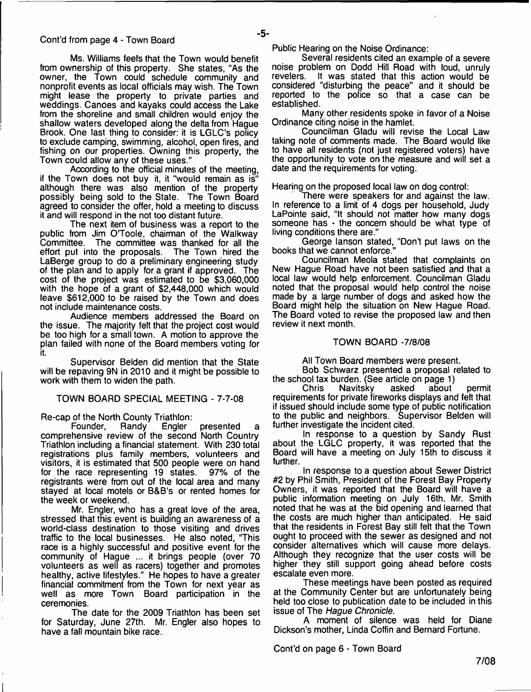Ms. Williams feels that the Town would benefit from ownership of this property. She states, "As the owner, the Town could schedule community and nonprofit events as local officials may wish. The Town might lease the property to private parties and weddings. Canoes and kayaks could access the Lake from the shoreline and small children would enjoy the shallow waters developed along the delta from Hague Brook. One last thing to consider: it is LGLC's policy to exclude camping, swimming, alcohol, open fires, and fishing on our properties. Owning this property, the Town could allow any of these uses."

According to the official minutes of the meeting, if the Town does not buy it, it "would remain as is" although there was also mention of the property possibly being sold to the State. The Town Board agreed to consider the offer, hold a meeting to discuss it and will respond in the not too distant future.

The next item of business was a report to the public from Jim O'Toole, chairman of the Walkway<br>Committee. The committee was thanked for all the The committee was thanked for all the<br>to the proposals. The Town hired the effort put into the proposals. LaBerge group to do a preliminary engineering study of the plan and to apply for a grant if approved. The cost of the project was estimated to be \$3,060,000 with the hope of a grant of \$2,448,000 which would leave \$612,000 to be raised by the Town and does not include maintenance costs.

Audience members addressed the Board on the issue. The majority felt that the project cost would be too high for a small town. A motion to approve the plan failed with none of the Board members voting for it.

Supervisor Belden did mention that the State will be repaving 9N in 2010 and it might be possible to work with them to widen the path.

#### TOWN BOARD SPECIAL MEETING - 7-7-08

Re-cap of the North County Triathlon:<br>Founder, Randy Engler

presented comprehensive review of the second North Country Triathlon including a financial statement. With 230 total registrations plus family members, volunteers and visitors, it is estimated that 500 people were on hand for the race representing 19 states. registrants were from out of the local area and many stayed at local motels or B&B's or rented homes for the week or weekend.

Mr. Engler, who has a great love of the area, stressed that this event is building an awareness of a world-class destination to those visiting and drives traffic to the local businesses. He also noted, "This race is a highly successful and positive event for the community of Hague ... it brings people (over 70 volunteers as well as racers) together and promotes healthy, active lifestyles." He hopes to have a greater financial commitment from the Town for next year as well as more Town Board participation in the ceremonies.

The date for the 2009 Triathlon has been set for Saturday, June 27th. Mr. Engler also hopes to have a fall mountain bike race.

Public Hearing on the Noise Ordinance:

Several residents cited an example of a severe noise problem on Dodd Hill Road with loud, unruly It was stated that this action would be considered "disturbing the peace" and it should be reported to the police so that a case can be established.

Many other residents spoke in favor of a Noise Ordinance citing noise in the hamlet.

Councilman Gladu will revise the Local Law taking note of comments made. The Board would like to have all residents (not just registered voters) have the opportunity to vote on the measure and will set a date and the requirements for voting.

Hearing on the proposed local law on dog control:

There were speakers for and against the law. In reference to a limit of 4 dogs per household, Judy LaPointe said, "It should not matter how many dogs someone has - the concern should be what type of living conditions there are."

George lanson stated, "Don't put laws on the books that we cannot enforce."

Councilman Meola stated that complaints on New Hague Road have not been satisfied and that a local law would help enforcement. Councilman Gladu noted that the proposal would help control the noise made by a large number of dogs and asked how the Board might help the situation on New Hague Road. The Board voted to revise the proposed law and then review it next month.

#### TOWN BOARD -7/8/08

All Town Board members were present.

Bob Schwarz presented a proposal related to the school tax burden. (See article on page 1)<br>Chris Navitsky asked about

Navitsky asked about permit requirements for private fireworks displays and felt that if issued should include some type of public notification to the public and neighbors. Supervisor Belden will further investigate the incident cited.

In response to a question by Sandy Rust about the LGLC property, it was reported that the Board will have a meeting on July 15th to discuss it further.

In response to a question about Sewer District #2 by Phil Smith, President of the Forest Bay Property Owners, it was reported that the Board will have a public information meeting on July 16th. Mr. Smith noted that he was at the bid opening and learned that the costs are much higher than anticipated. He said that the residents in Forest Bay still felt that the Town ought to proceed with the sewer as designed and not consider alternatives which will cause more delays. Although they recognize that the user costs will be higher they still support going ahead before costs escalate even more.

These meetings have been posted as required at the Community Center but are unfortunately being held too close to publication date to be included in this issue of The *Hague Chronicle.*

A moment of silence was held for Diane Dickson's mother, Linda Coffin and Bernard Fortune.

Cont'd on page 6 - Town Board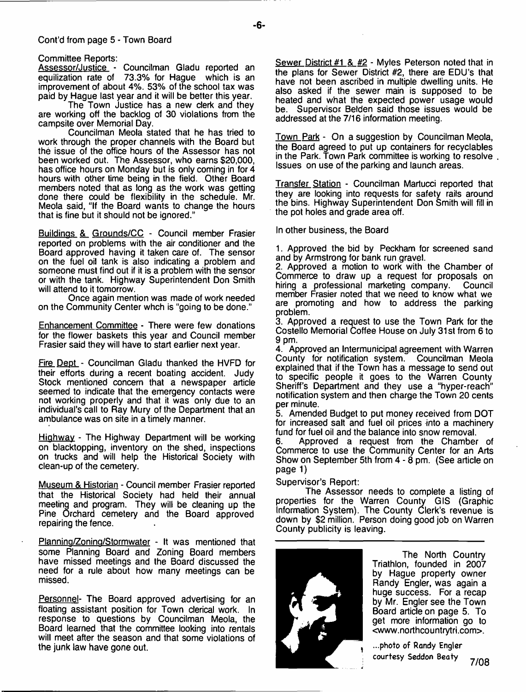#### Cont'd from page 5 - Town Board

Assessor/Justice - Councilman Gladu reported an equilization rate of 73.3% for Hague which is an improvement of about 4%. 53% of the school tax was paid by Hague last year and it will be better this year.

The Town Justice has a new clerk and they are working off the backlog of 30 violations from the campsite over Memorial Day.

Councilman Meola stated that he has tried to work through the proper channels with the Board but the issue of the office hours of the Assessor has not been worked out. The Assessor, who earns \$20,000, has office hours on Monday but is only coming in for 4 hours with other time being in the field. Other Board members noted that as long as the work was getting done there could be flexibility in the schedule. Mr. Meola said, "If the Board wants to change the hours that is fine but it should not be ignored."

Buildings &\_ Grounds/CC - Council member Frasier reported on problems with the air conditioner and the Board approved having it taken care of. The sensor on the fuel oil tank is also indicating a problem and someone must find out if it is a problem with the sensor or with the tank. Highway Superintendent Don Smith will attend to it tomorrow.

Once again mention was made of work needed on the Community Center whch is "going to be done."

Enhancement Committee - There were few donations for the flower baskets this year and Council member Frasier said they will have to start earlier next year.

Fire Dept - Councilman Gladu thanked the HVFD for their efforts during a recent boating accident. Judy Stock mentioned concern that a newspaper article seemed to indicate that the emergency contacts were not working properly and that it was only due to an individual's call to Ray Mury of the Department that an ambulance was on site in a timely manner.

Highway - The Highway Department will be working on blacktopping, inventory on the shed, inspections on trucks and will help the Historical Society with clean-up of the cemetery.

Museum & Historian - Council member Frasier reported that the Historical Society had held their annual meeting and program. They will be cleaning up the Pine Orchard cemetery and the Board approved repairing the fence.

Planning/Zoning/Stormwater - It was mentioned that some Planning Board and Zoning Board members have missed meetings and the Board discussed the need for a rule about how many meetings can be missed.

Personnel- The Board approved advertising for an floating assistant position for Town clerical work. In response to questions by Councilman Meola, the Board learned that the committee looking into rentals will meet after the season and that some violations of the junk law have gone out.

Sewer District #1 & #2 - Myles Peterson noted that in the plans for Sewer District #2, there are EDU's that have not been ascribed in multiple dwelling units. He also asked if the sewer main is supposed to be heated and what the expected power usage would<br>he. Supervisor Belden said those issues would be Supervisor Belden said those issues would be addressed at the 7/16 information meeting.

Town Park - On a suggestion by Councilman Meola, the Board agreed to put up containers for recyclables in the Park. Town Park committee is working to resolve Issues on use of the parking and launch areas.

Transfer Station - Councilman Martucci reported that they are looking into requests for safety rails around the bins. Highway Superintendent Don Smith will fill in the pot holes and grade area off.

In other business, the Board

1. Approved the bid by Peckham for screened sand and by Armstrong for bank run gravel.

2. Approved a motion to work with the Chamber of Commerce to draw up a request for proposals on hiring a professional marketing company. Council member Frasier noted that we need to know what we are promoting and how to address the parking problem.

3. Approved a request to use the Town Park for the Costello Memorial Coffee House on July 31st from 6 to 9 pm.

4. Approved an Intermunicipal agreement with Warren County for notification system. Councilman Meola explained that if the Town has a message to send out to specific people it goes to the Warren County Sheriff's Department and they use a "hyper-reach" notification system and then charge the Town 20 cents per minute.

5. Amended Budget to put money received from DOT for increased salt and fuel oil prices into a machinery fund for fuel oil and the balance into snow removal.

6. Approved a request from the Chamber of Commerce to use the Community Center for an Arts Show on September 5th from 4 - 8 pm. (See article on page 1)

Supervisor's Report:

The Assessor needs to complete a listing of properties for the Warren County GIS (Graphic Information System). The County Clerk's revenue is down by \$2 million. Person doing good job on Warren County publicity is leaving.



The North Country Triathlon, founded in 2007 by Hague property owner Randy Engler, was again a huge success. For a recap by Mr. Engler see the Town Board article on page 5. To get more information go to [<www.northcountrytri.com>](http://www.northcountrytri.com).

...photo of Randy Engler courtesy Seddon Beaty **7/08**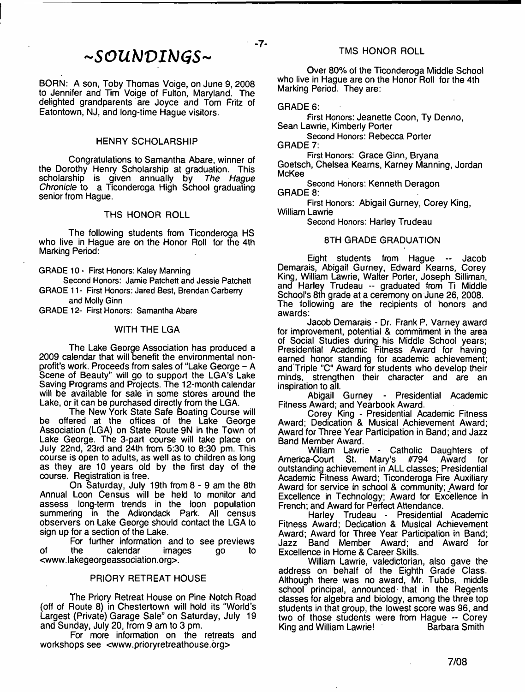BORN: A son, Toby Thomas Voige, on June 9, 2008 to Jennifer and Tim Voige of Fulton, Maryland. The delighted grandparents are Joyce and Tom Fritz of Eatontown, NJ, and long-time Hague visitors.

# HENRY SCHOLARSHIP

Congratulations to Samantha Abare, winner of the Dorothy Henry Scholarship at graduation. This scholarship is given annually by *The Hague Chronicle* to a Ticonderoga High School graduating senior from Hague.

#### THS HONOR ROLL

The following students from Ticonderoga HS who live in Hague are on the Honor Roll for the 4th Marking Period:

GRADE 10 - First Honors: Kaley Manning

Second Honors: Jamie Patchett and Jessie Patched GRADE 11- First Honors: Jared Best, Brendan Carberry and Molly Ginn

GRADE 12- First Honors: Samantha Abare

#### WITH THE LGA

The Lake George Association has produced a 2009 calendar that will benefit the environmental nonprofit's work. Proceeds from sales of "Lake George - A Scene of Beauty" will go to support the LGA's Lake Saving Programs and Projects. The 12-month calendar will be available for sale in some stores around the Lake, or it can be purchased directly from the LGA.

The New York State Safe Boating Course will be offered at the offices of the Lake George Association (LGA) on State Route 9N in the Town of Lake George. The 3-part course will take place on July 22nd, 23rd and 24th from 5:30 to 8:30 pm. This course is open to adults, as well as to children as long as they are 10 years old by the first day of the course. Registration is free.

On Saturday, July 19th from 8 - 9 am the 8th Annual Loon Census will be held to monitor and assess long-term trends in the loon population summering in the Adirondack Park. All census observers on Lake George should contact the LGA to sign up for a section of the Lake.

For further information and to see previews<br>the calendar images go to of the calendar images go to <[www.lakegeorgeassociation.org](http://www.lakegeorgeassociation.org)>.

# PRIORY RETREAT HOUSE

The Priory Retreat House on Pine Notch Road (off of Route 8) in Chestertown will hold its "World's Largest (Private) Garage Sale" on Saturday, July 19 and Sunday, July 20, from 9 am to 3 pm.

For more information on the retreats and workshops see [<www.prioryretreathouse.org](http://www.prioryretreathouse.org)>

Over 80% of the Ticonderoga Middle School who live in Hague are on the Honor Roll for the 4th Marking Period. They are:

#### GRADE 6:

 $-7-$ 

First Honors: Jeanette Coon, Ty Denno, Sean Lawrie, Kimberly Porter

Second Honors: Rebecca Porter

GRADE 7:

First Honors: Grace Ginn, Bryana Goetsch, Chelsea Kearns, Karney Manning, Jordan McKee

Second Honors: Kenneth Deragon GRADE 8:

First Honors: Abigail Gurney, Corey King, William Lawrie

Second Honors: Harley Trudeau

# 8TH GRADE GRADUATION

Eight students from Hague -- Jacob Demarais, Abigail Gurney, Edward Kearns, Corey King, William Lawrie, Walter Porter, Joseph Silliman, and Harley Trudeau -- graduated from Ti Middle School's 8th grade at a ceremony on June 26, 2008. The following are the recipients of honors and awards:

Jacob Demarais - Dr. Frank P. Varney award for improvement, potential & commitment in the area of Social Studies during his Middle School years; Presidential Academic Fitness Award for having earned honor standing for academic achievement; and Triple "C" Award for students who develop their minds, strengthen their character and are an inspiration to all.

Abigail Gurney - Presidential Academic Fitness Award; and Yearbook Award.

Corey King - Presidential Academic Fitness Award; Dedication & Musical Achievement Award; Award for Three Year Participation in Band; and Jazz Band Member Award.

William Lawrie - Catholic Daughters of<br>a-Court St. Mary's #794 Award for America-Court St. Mary's #794 Award for outstanding achievement in ALL classes; Presidential Academic Fitness Award; Ticonderoga Fire Auxiliary Award for service in school & community; Award for Excellence in Technology; Award for Excellence in French; and Award for Perfect Attendance.

Harley Trudeau - Presidential Academic Fitness Award; Dedication & Musical Achievement Award; Award for Three Year Participation in Band; Jazz Band Member Award; and Award for Excellence in Home & Career Skills.

William Lawrie, valedictorian, also gave the address on behalf of the Eighth Grade Class. Although there was no award, Mr. Tubbs, middle school principal, announced that in the Regents classes for algebra and biology, among the three top students in that group, the lowest score was 96, and two of those students were from Hague -- Corey King and William Lawrie! Barbara Smith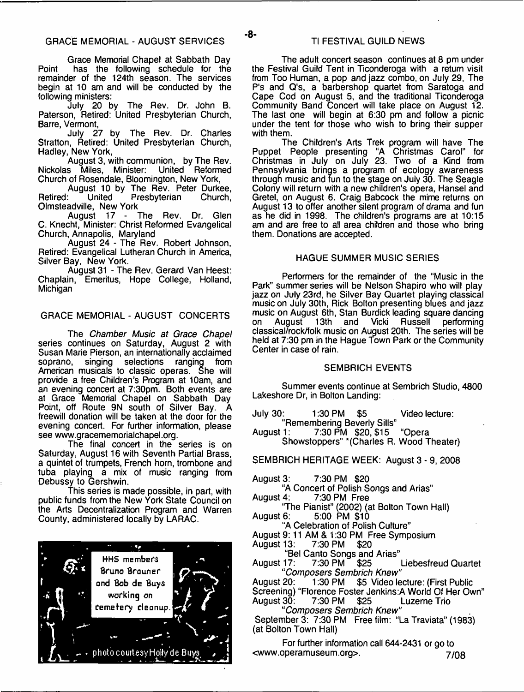Grace Memorial Chapel at Sabbath Day Point has the following schedule for the remainder of the 124th season. The services begin at 10 am and will be conducted by the following ministers:

July 20 by The Rev. Dr. John B. Paterson, Retired: United Presbyterian Church, Barre, Vermont,

July 27 by The Rev. Dr. Charles Stratton, Retired: United Presbyterian Church. Hadley, New York,

August 3, with communion, by The Rev. Nickolas Miles, Minister: United Reformed Church of Rosendale, Bloomington, New York,

August 10 by The Rev. Peter Durkee,<br>Retired: United Presbyterian Church. Presbyterian Olmsteadville, New York

August 17 - The Rev. Dr. Glen C. Knecht, Minister: Christ Reformed Evangelical Church, Annapolis, Maryland

August 24 - The Rev. Robert Johnson, Retired: Evangelical Lutheran Church in America, Silver Bay, New York.

August 31 - The Rev. Gerard Van Heest: Chaplain, Emeritus, Hope College, Holland, **Michigan** 

# GRACE MEMORIAL - AUGUST CONCERTS

The *Chamber Music at Grace Chapel* series continues on Saturday, August 2 with Susan Marie Pierson, an internationally acclaimed soprano, singing selections ranging from American musicals to classic operas. She will provide a free Children's Program at 10am, and an evening concert at 7:30pm. Both events are at Grace Memorial Chapel on Sabbath Day Point, off Route 9N south of Silver Bay. A freewill donation will be taken at the door for the evening concert. For further information, please see [www.gracememorialchapel.org](http://www.gracememorialchapel.org).

The final concert in the series is on Saturday, August 16 with Seventh Partial Brass, a quintet of trumpets, French horn, trombone and tuba playing a mix of music ranging from Debussy to Gershwin.

This series is made possible, in part, with public funds from the New York State Council on the Arts Decentralization Program and Warren County, administered locally by LARAC.



The adult concert season continues at 8 pm under the Festival Guild Tent in Ticonderoga with a return visit from Too Human, a pop and jazz combo, on July 29, The P's and Q's, a barbershop quartet from Saratoga and Cape Cod on August 5, and the traditional Ticonderoga Community Band Concert will take place on August 12. The last one will begin at 6:30 pm and follow a picnic under the tent for those who wish to bring their supper with them.

The Children's Arts Trek program will have The Puppet People presenting "A Christmas Carol" for Christmas in July on July 23. Two of a Kind from Pennsylvania brings a program of ecology awareness through music and fun to the stage on July 30. The Seagle Colony will return with a new children's opera, Hansel and Gretel, on August 6. Craig Babcock the mime returns on August 13 to offer another silent program of drama and fun as he did in 1998. The children's programs are at 10:15 am and are free to all area children and those who bring them. Donations are accepted.

#### HAGUE SUMMER MUSIC SERIES

Performers for the remainder of the "Music in the Park" summer series will be Nelson Shapiro who will play jazz on July 23rd, he Silver Bay Quartet playing classical music on July 30th, Rick Bolton presenting blues and jazz music on August 6th, Stan Burdick leading square dancing<br>on August 13th and Vicki Russell performing August 13th and Vicki Russell performing classical/rock/folk music on August 20th. The series will be held at 7:30 pm in the Hague Town Park or the Community Center in case of rain.

#### SEMBRICH EVENTS

Summer events continue at Sembrich Studio, 4800 Lakeshore Dr, in Bolton Landing:

| July 30: | 1:30 PM \$5                 | Video lecture: |
|----------|-----------------------------|----------------|
|          | "Remembering Beverly Sills" |                |

August 1: 7:30 PM \$20, \$15 "Opera Showstoppers" " (Charles R. Wood Theater)

SEMBRICH HERITAGE WEEK: August 3 - 9, 2008

August 3: 7:30 PM \$20

"A Concert of Polish Songs and Arias"<br>August 4: 7:30 PM Free

7:30 PM Free

"The Pianist" (2002) (at Bolton Town Hall) August 6: 5:00 PM \$10

"A Celebration of Polish Culture"

August 9:11 AM & 1:30 PM Free Symposium

August 13: 7:30 PM \$20

"Bel Canto Songs and Arias"<br>August 17: 7:30 PM \$25

**Liebesfreud Quartet** *"Composers Sembrich Knew"*

\$5 Video lecture: (First Public Screening) "Florence Foster Jenkins:A World Of Her Own" **Luzerne Trio** *"Composers Sembrich Knew*"

September 3: 7:30 PM Free film: "La Traviata" (1983) (at Bolton Town Hall)

For further information call 644-2431 or go to [<www.operamuseum.org>](http://www.operamuseum.org). **https://document/manuseum.org>**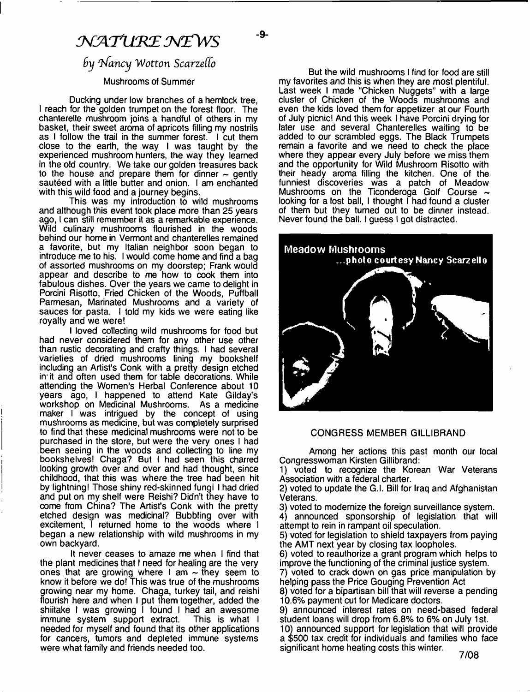# NATURE NEWS

- **9**-

# $6y$  Nancy Wotton Scarzello

# Mushrooms of Summer

Ducking under low branches of a hemlock tree, I reach for the golden trumpet on the forest floor. The chanterelle mushroom joins a handful of others in my basket, their sweet aroma of apricots filling my nostrils as I follow the trail in the summer forest. I cut them close to the earth, the way I was taught by the experienced mushroom hunters, the way they learned in the old country. We take our golden treasures back to the house and prepare them for dinner  $\sim$  gently sautéed with a little butter and onion. I am enchanted with this wild food and a journey begins.

This was my introduction to wild mushrooms and although this event took place more than 25 years ago, I can still remember it as a remarkable experience. Wild culinary mushrooms flourished in the woods behind our home in Vermont and chanterelles remained a favorite, but my Italian neighbor soon began to introduce me to his. I would come home and find a bag of assorted mushrooms on my doorstep; Frank would appear and describe to me how to cook them into fabulous dishes. Over the years we came to delight in Porcini Risotto, Fried Chicken of the Woods, Puffball Parmesan, Marinated Mushrooms and a variety of sauces for pasta. I told my kids we were eating like royalty and we were!

I loved collecting wild mushrooms for food but had never considered them for any other use other than rustic decorating and crafty things. I had several varieties of dried mushrooms lining my bookshelf including an Artist's Conk with a pretty design etched in it and often used them for table decorations. While attending the Women's Herbal Conference about 10 years ago, I happened to attend Kate Gilday's workshop on Medicinal Mushrooms. As a medicine maker I was intrigued by the concept of using mushrooms as medicine, but was completely surprised to find that these medicinal mushrooms were not to be purchased in the store, but were the very ones I had been seeing in the woods and collecting to line my bookshelves! Chaga? But I had seen this charred looking growth over and over and had thought, since childhood, that this was where the tree had been hit by lightning! Those shiny red-skinned fungi I had dried and put on my shelf were Reishi? Didn't they have to come from China? The Artist's Conk with the pretty etched design was medicinal? Bubbling over with excitement, I returned home to the woods where I began a new relationship with wild mushrooms in my own backyard.

It never ceases to amaze me when I find that the plant medicines that I need for healing are the very ones that are growing where I am  $\sim$  they seem to know it before we do! This was true of the mushrooms growing near my home. Chaga, turkey tail, and reishi flourish here and when I put them together, added the shiitake I was growing I found I had an awesome immune system support extract. This is what I needed for myself and found that its other applications for cancers, tumors and depleted immune systems were what family and friends needed too.

But the wild mushrooms I find for food are still my favorites and this is when they are most plentiful. Last week I made "Chicken Nuggets" with a large cluster of Chicken of the Woods mushrooms and even the kids loved them for appetizer at our Fourth of July picnic! And this week I have Porcini drying for later use and several Chanterelles waiting to be added to our scrambled eggs. The Black Trumpets remain a favorite and we need to check the place where they appear every July before we miss them and the opportunity for Wild Mushroom Risotto with their heady aroma filling the kitchen. One of the funniest discoveries was a patch of Meadow Mushrooms on the Ticonderoga Golf Course  $\sim$ looking for a lost ball, I thought I had found a cluster of them but they turned out to be dinner instead. Never found the ball. I guess I got distracted.



#### CONGRESS MEMBER GILLIBRAND

Among her actions this past month our local Congresswoman Kirsten Gillibrand:

1) voted to recognize the Korean War Veterans Association with a federal charter.

2) voted to update the G.l. Bill for Iraq and Afghanistan Veterans.

3) voted to modernize the foreign surveillance system. 4) announced sponsorship of legislation that will attempt to rein in rampant oil speculation.

5) voted for legislation to shield taxpayers from paying the AMT next year by closing tax loopholes.

6) voted to reauthorize a grant program which helps to improve the functioning of the criminal justice system.

7) voted to crack down on gas price manipulation by helping pass the Price Gouging Prevention Act

8) voted for a bipartisan bill that will reverse a pending 10.6% payment cut for Medicare doctors.

9) announced interest rates on need-based federal student loans will drop from 6.8% to 6% on July 1st.

10) announced support for legislation that will provide a \$500 tax credit for individuals and families who face significant home heating costs this winter.